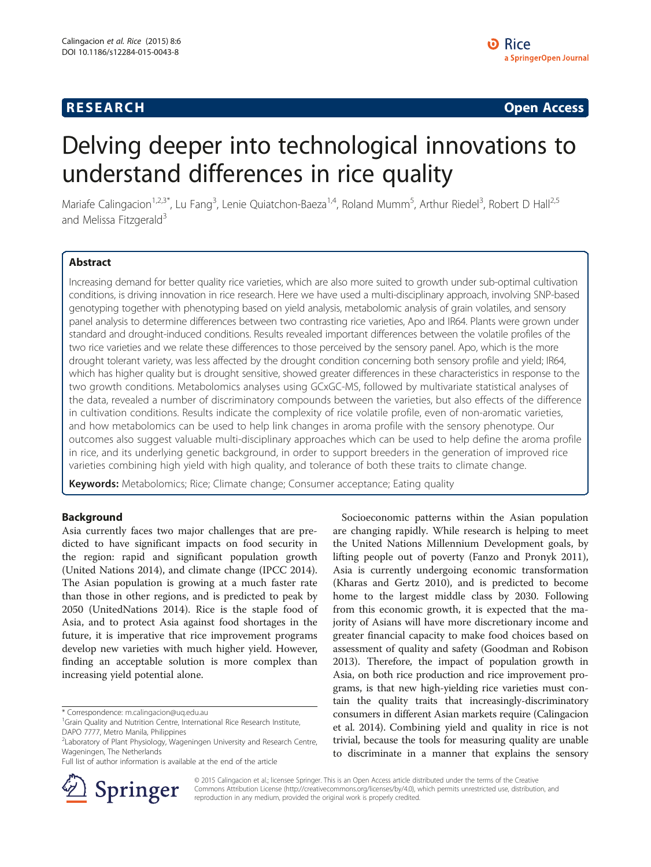# **RESEARCH CHINESE ARCH CHINESE ARCH CHINESE ARCH <b>CHINESE ARCH**

# Delving deeper into technological innovations to understand differences in rice quality

Mariafe Calingacion<sup>1,2,3\*</sup>, Lu Fang<sup>3</sup>, Lenie Quiatchon-Baeza<sup>1,4</sup>, Roland Mumm<sup>5</sup>, Arthur Riedel<sup>3</sup>, Robert D Hall<sup>2,5</sup> and Melissa Fitzgerald<sup>3</sup>

# Abstract

Increasing demand for better quality rice varieties, which are also more suited to growth under sub-optimal cultivation conditions, is driving innovation in rice research. Here we have used a multi-disciplinary approach, involving SNP-based genotyping together with phenotyping based on yield analysis, metabolomic analysis of grain volatiles, and sensory panel analysis to determine differences between two contrasting rice varieties, Apo and IR64. Plants were grown under standard and drought-induced conditions. Results revealed important differences between the volatile profiles of the two rice varieties and we relate these differences to those perceived by the sensory panel. Apo, which is the more drought tolerant variety, was less affected by the drought condition concerning both sensory profile and yield; IR64, which has higher quality but is drought sensitive, showed greater differences in these characteristics in response to the two growth conditions. Metabolomics analyses using GCxGC-MS, followed by multivariate statistical analyses of the data, revealed a number of discriminatory compounds between the varieties, but also effects of the difference in cultivation conditions. Results indicate the complexity of rice volatile profile, even of non-aromatic varieties, and how metabolomics can be used to help link changes in aroma profile with the sensory phenotype. Our outcomes also suggest valuable multi-disciplinary approaches which can be used to help define the aroma profile in rice, and its underlying genetic background, in order to support breeders in the generation of improved rice varieties combining high yield with high quality, and tolerance of both these traits to climate change.

Keywords: Metabolomics; Rice; Climate change; Consumer acceptance; Eating quality

# Background

Asia currently faces two major challenges that are predicted to have significant impacts on food security in the region: rapid and significant population growth (United Nations [2014\)](#page-9-0), and climate change (IPCC [2014](#page-8-0)). The Asian population is growing at a much faster rate than those in other regions, and is predicted to peak by 2050 (UnitedNations [2014\)](#page-9-0). Rice is the staple food of Asia, and to protect Asia against food shortages in the future, it is imperative that rice improvement programs develop new varieties with much higher yield. However, finding an acceptable solution is more complex than increasing yield potential alone.

\* Correspondence: [m.calingacion@uq.edu.au](mailto:m.calingacion@uq.edu.au) <sup>1</sup>

Full list of author information is available at the end of the article



Socioeconomic patterns within the Asian population are changing rapidly. While research is helping to meet the United Nations Millennium Development goals, by lifting people out of poverty (Fanzo and Pronyk [2011](#page-8-0)), Asia is currently undergoing economic transformation (Kharas and Gertz [2010\)](#page-8-0), and is predicted to become home to the largest middle class by 2030. Following from this economic growth, it is expected that the majority of Asians will have more discretionary income and greater financial capacity to make food choices based on assessment of quality and safety (Goodman and Robison [2013](#page-8-0)). Therefore, the impact of population growth in Asia, on both rice production and rice improvement programs, is that new high-yielding rice varieties must contain the quality traits that increasingly-discriminatory consumers in different Asian markets require (Calingacion et al. [2014\)](#page-8-0). Combining yield and quality in rice is not trivial, because the tools for measuring quality are unable to discriminate in a manner that explains the sensory

© 2015 Calingacion et al.; licensee Springer. This is an Open Access article distributed under the terms of the Creative Commons Attribution License (<http://creativecommons.org/licenses/by/4.0>), which permits unrestricted use, distribution, and reproduction in any medium, provided the original work is properly credited.

<sup>&</sup>lt;sup>1</sup>Grain Quality and Nutrition Centre, International Rice Research Institute, DAPO 7777, Metro Manila, Philippines

<sup>&</sup>lt;sup>2</sup>Laboratory of Plant Physiology, Wageningen University and Research Centre, Wageningen, The Netherlands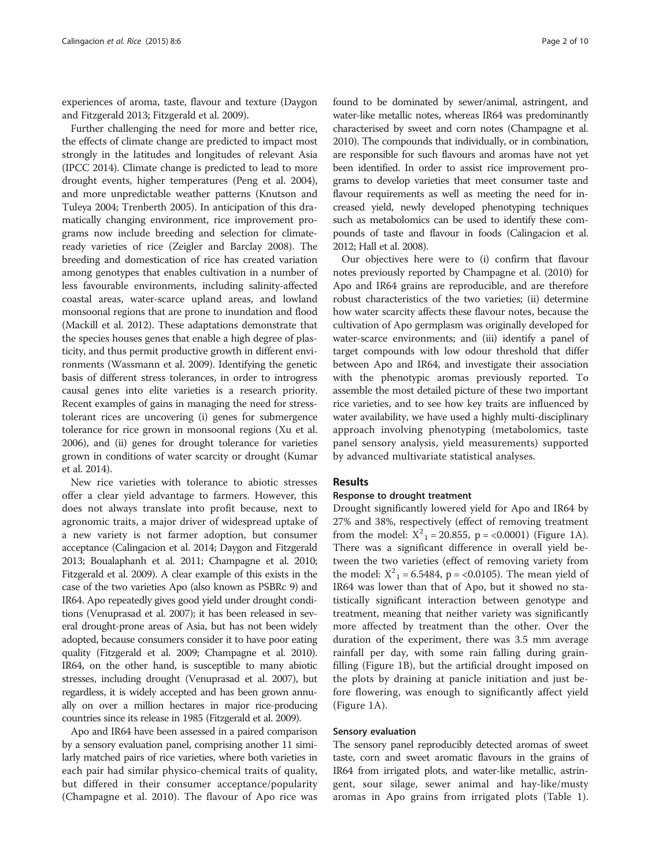experiences of aroma, taste, flavour and texture (Daygon and Fitzgerald [2013](#page-8-0); Fitzgerald et al. [2009\)](#page-8-0).

Further challenging the need for more and better rice, the effects of climate change are predicted to impact most strongly in the latitudes and longitudes of relevant Asia (IPCC [2014\)](#page-8-0). Climate change is predicted to lead to more drought events, higher temperatures (Peng et al. [2004](#page-9-0)), and more unpredictable weather patterns (Knutson and Tuleya [2004](#page-8-0); Trenberth [2005\)](#page-9-0). In anticipation of this dramatically changing environment, rice improvement programs now include breeding and selection for climateready varieties of rice (Zeigler and Barclay [2008](#page-9-0)). The breeding and domestication of rice has created variation among genotypes that enables cultivation in a number of less favourable environments, including salinity-affected coastal areas, water-scarce upland areas, and lowland monsoonal regions that are prone to inundation and flood (Mackill et al. [2012\)](#page-8-0). These adaptations demonstrate that the species houses genes that enable a high degree of plasticity, and thus permit productive growth in different environments (Wassmann et al. [2009\)](#page-9-0). Identifying the genetic basis of different stress tolerances, in order to introgress causal genes into elite varieties is a research priority. Recent examples of gains in managing the need for stresstolerant rices are uncovering (i) genes for submergence tolerance for rice grown in monsoonal regions (Xu et al. [2006\)](#page-9-0), and (ii) genes for drought tolerance for varieties grown in conditions of water scarcity or drought (Kumar et al. [2014](#page-8-0)).

New rice varieties with tolerance to abiotic stresses offer a clear yield advantage to farmers. However, this does not always translate into profit because, next to agronomic traits, a major driver of widespread uptake of a new variety is not farmer adoption, but consumer acceptance (Calingacion et al. [2014;](#page-8-0) Daygon and Fitzgerald [2013;](#page-8-0) Boualaphanh et al. [2011](#page-8-0); Champagne et al. [2010](#page-8-0); Fitzgerald et al. [2009](#page-8-0)). A clear example of this exists in the case of the two varieties Apo (also known as PSBRc 9) and IR64. Apo repeatedly gives good yield under drought conditions (Venuprasad et al. [2007\)](#page-9-0); it has been released in several drought-prone areas of Asia, but has not been widely adopted, because consumers consider it to have poor eating quality (Fitzgerald et al. [2009](#page-8-0); Champagne et al. [2010](#page-8-0)). IR64, on the other hand, is susceptible to many abiotic stresses, including drought (Venuprasad et al. [2007\)](#page-9-0), but regardless, it is widely accepted and has been grown annually on over a million hectares in major rice-producing countries since its release in 1985 (Fitzgerald et al. [2009\)](#page-8-0).

Apo and IR64 have been assessed in a paired comparison by a sensory evaluation panel, comprising another 11 similarly matched pairs of rice varieties, where both varieties in each pair had similar physico-chemical traits of quality, but differed in their consumer acceptance/popularity (Champagne et al. [2010\)](#page-8-0). The flavour of Apo rice was

found to be dominated by sewer/animal, astringent, and water-like metallic notes, whereas IR64 was predominantly characterised by sweet and corn notes (Champagne et al. [2010\)](#page-8-0). The compounds that individually, or in combination, are responsible for such flavours and aromas have not yet been identified. In order to assist rice improvement programs to develop varieties that meet consumer taste and flavour requirements as well as meeting the need for increased yield, newly developed phenotyping techniques such as metabolomics can be used to identify these compounds of taste and flavour in foods (Calingacion et al. [2012;](#page-8-0) Hall et al. [2008](#page-8-0)).

Our objectives here were to (i) confirm that flavour notes previously reported by Champagne et al. [\(2010\)](#page-8-0) for Apo and IR64 grains are reproducible, and are therefore robust characteristics of the two varieties; (ii) determine how water scarcity affects these flavour notes, because the cultivation of Apo germplasm was originally developed for water-scarce environments; and (iii) identify a panel of target compounds with low odour threshold that differ between Apo and IR64, and investigate their association with the phenotypic aromas previously reported. To assemble the most detailed picture of these two important rice varieties, and to see how key traits are influenced by water availability, we have used a highly multi-disciplinary approach involving phenotyping (metabolomics, taste panel sensory analysis, yield measurements) supported by advanced multivariate statistical analyses.

#### Results

#### Response to drought treatment

Drought significantly lowered yield for Apo and IR64 by 27% and 38%, respectively (effect of removing treatment from the model:  $X^2$ <sub>1</sub> = 20.855, p = <0.0001) (Figure [1A](#page-2-0)). There was a significant difference in overall yield between the two varieties (effect of removing variety from the model:  $X^2$ <sub>1</sub> = 6.5484, p = <0.0105). The mean yield of IR64 was lower than that of Apo, but it showed no statistically significant interaction between genotype and treatment, meaning that neither variety was significantly more affected by treatment than the other. Over the duration of the experiment, there was 3.5 mm average rainfall per day, with some rain falling during grainfilling (Figure [1B\)](#page-2-0), but the artificial drought imposed on the plots by draining at panicle initiation and just before flowering, was enough to significantly affect yield (Figure [1A](#page-2-0)).

#### Sensory evaluation

The sensory panel reproducibly detected aromas of sweet taste, corn and sweet aromatic flavours in the grains of IR64 from irrigated plots, and water-like metallic, astringent, sour silage, sewer animal and hay-like/musty aromas in Apo grains from irrigated plots (Table [1](#page-2-0)).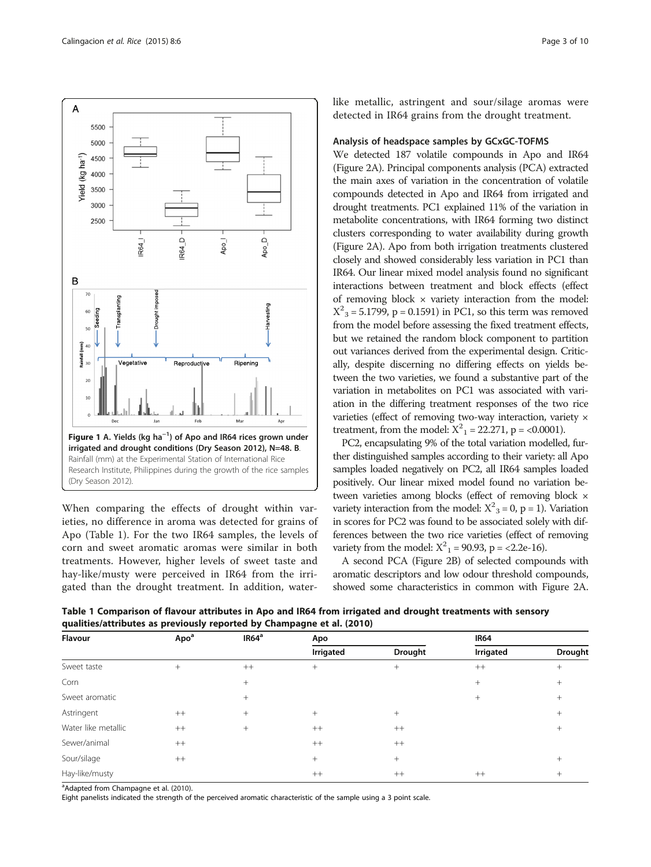<span id="page-2-0"></span>

When comparing the effects of drought within varieties, no difference in aroma was detected for grains of Apo (Table 1). For the two IR64 samples, the levels of corn and sweet aromatic aromas were similar in both treatments. However, higher levels of sweet taste and hay-like/musty were perceived in IR64 from the irrigated than the drought treatment. In addition, waterlike metallic, astringent and sour/silage aromas were detected in IR64 grains from the drought treatment.

## Analysis of headspace samples by GCxGC-TOFMS

We detected 187 volatile compounds in Apo and IR64 (Figure [2A\)](#page-3-0). Principal components analysis (PCA) extracted the main axes of variation in the concentration of volatile compounds detected in Apo and IR64 from irrigated and drought treatments. PC1 explained 11% of the variation in metabolite concentrations, with IR64 forming two distinct clusters corresponding to water availability during growth (Figure [2A](#page-3-0)). Apo from both irrigation treatments clustered closely and showed considerably less variation in PC1 than IR64. Our linear mixed model analysis found no significant interactions between treatment and block effects (effect of removing block × variety interaction from the model:  $X^2$ <sub>3</sub> = 5.1799, p = 0.1591) in PC1, so this term was removed from the model before assessing the fixed treatment effects, but we retained the random block component to partition out variances derived from the experimental design. Critically, despite discerning no differing effects on yields between the two varieties, we found a substantive part of the variation in metabolites on PC1 was associated with variation in the differing treatment responses of the two rice varieties (effect of removing two-way interaction, variety × treatment, from the model:  $X^2$ <sub>1</sub> = 22.271, p = <0.0001).

PC2, encapsulating 9% of the total variation modelled, further distinguished samples according to their variety: all Apo samples loaded negatively on PC2, all IR64 samples loaded positively. Our linear mixed model found no variation between varieties among blocks (effect of removing block × variety interaction from the model:  $X^2$ <sub>3</sub> = 0, p = 1). Variation in scores for PC2 was found to be associated solely with differences between the two rice varieties (effect of removing variety from the model:  $X^2$ <sub>1</sub> = 90.93, p = <2.2e-16).

A second PCA (Figure [2B\)](#page-3-0) of selected compounds with aromatic descriptors and low odour threshold compounds, showed some characteristics in common with Figure [2A](#page-3-0).

Table 1 Comparison of flavour attributes in Apo and IR64 from irrigated and drought treatments with sensory qualities/attributes as previously reported by Champagne et al. ([2010\)](#page-8-0)

| Flavour             | Apo <sup>a</sup> | IR64 <sup>a</sup> | Apo       |                | <b>IR64</b> |                |
|---------------------|------------------|-------------------|-----------|----------------|-------------|----------------|
|                     |                  |                   | Irrigated | <b>Drought</b> | Irrigated   | Drought        |
| Sweet taste         | $^{+}$           | $++$              | $^{+}$    | $^{+}$         | $++$        | $^{+}$         |
| Corn                |                  | $^{+}$            |           |                | $^{+}$      | $^{+}$         |
| Sweet aromatic      |                  | $^{+}$            |           |                | $^{+}$      | $^{+}$         |
| Astringent          | $^{++}$          | $^{+}$            | $^{+}$    | $^{+}$         |             | $^{+}$         |
| Water like metallic | $^{++}$          | $^{+}$            | $^{++}$   | $++$           |             | $^{+}$         |
| Sewer/animal        | $^{++}$          |                   | $^{++}$   | $++$           |             |                |
| Sour/silage         | $^{++}$          |                   | $^{+}$    | $^{+}$         |             | $^{+}$         |
| Hay-like/musty      |                  |                   | $^{++}$   | $++$           | $++$        | $\overline{+}$ |

<sup>a</sup>Adapted from Champagne et al. ([2010\)](#page-8-0).

Eight panelists indicated the strength of the perceived aromatic characteristic of the sample using a 3 point scale.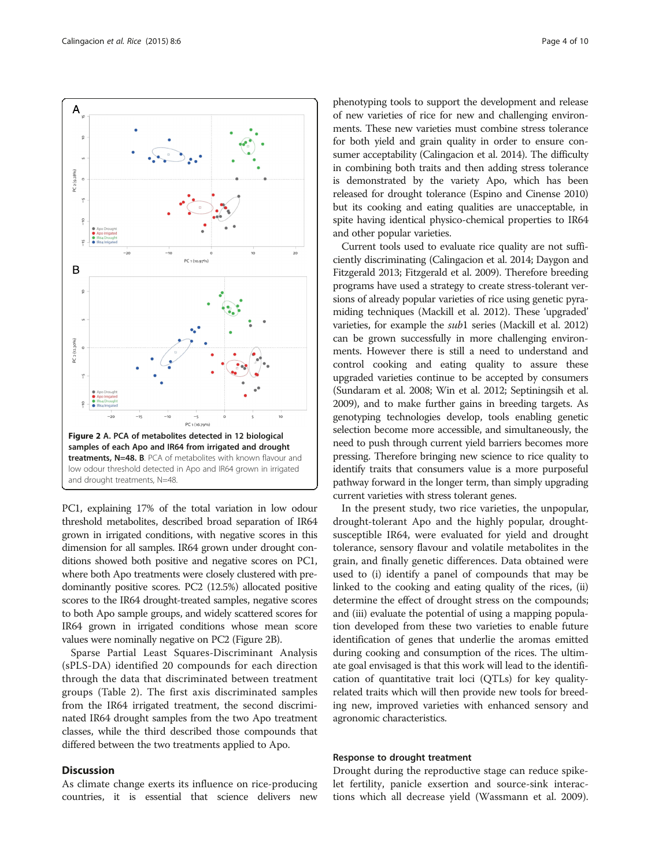PC1, explaining 17% of the total variation in low odour threshold metabolites, described broad separation of IR64 grown in irrigated conditions, with negative scores in this dimension for all samples. IR64 grown under drought conditions showed both positive and negative scores on PC1, where both Apo treatments were closely clustered with predominantly positive scores. PC2 (12.5%) allocated positive scores to the IR64 drought-treated samples, negative scores to both Apo sample groups, and widely scattered scores for IR64 grown in irrigated conditions whose mean score values were nominally negative on PC2 (Figure 2B).

Sparse Partial Least Squares-Discriminant Analysis (sPLS-DA) identified 20 compounds for each direction through the data that discriminated between treatment groups (Table [2\)](#page-4-0). The first axis discriminated samples from the IR64 irrigated treatment, the second discriminated IR64 drought samples from the two Apo treatment classes, while the third described those compounds that differed between the two treatments applied to Apo.

## **Discussion**

As climate change exerts its influence on rice-producing countries, it is essential that science delivers new

phenotyping tools to support the development and release of new varieties of rice for new and challenging environments. These new varieties must combine stress tolerance for both yield and grain quality in order to ensure consumer acceptability (Calingacion et al. [2014](#page-8-0)). The difficulty in combining both traits and then adding stress tolerance is demonstrated by the variety Apo, which has been released for drought tolerance (Espino and Cinense [2010](#page-8-0)) but its cooking and eating qualities are unacceptable, in spite having identical physico-chemical properties to IR64 and other popular varieties.

Current tools used to evaluate rice quality are not sufficiently discriminating (Calingacion et al. [2014;](#page-8-0) Daygon and Fitzgerald [2013;](#page-8-0) Fitzgerald et al. [2009\)](#page-8-0). Therefore breeding programs have used a strategy to create stress-tolerant versions of already popular varieties of rice using genetic pyramiding techniques (Mackill et al. [2012\)](#page-8-0). These 'upgraded' varieties, for example the sub1 series (Mackill et al. [2012](#page-8-0)) can be grown successfully in more challenging environments. However there is still a need to understand and control cooking and eating quality to assure these upgraded varieties continue to be accepted by consumers (Sundaram et al. [2008;](#page-9-0) Win et al. [2012;](#page-9-0) Septiningsih et al. [2009\)](#page-9-0), and to make further gains in breeding targets. As genotyping technologies develop, tools enabling genetic selection become more accessible, and simultaneously, the need to push through current yield barriers becomes more pressing. Therefore bringing new science to rice quality to identify traits that consumers value is a more purposeful pathway forward in the longer term, than simply upgrading current varieties with stress tolerant genes.

In the present study, two rice varieties, the unpopular, drought-tolerant Apo and the highly popular, droughtsusceptible IR64, were evaluated for yield and drought tolerance, sensory flavour and volatile metabolites in the grain, and finally genetic differences. Data obtained were used to (i) identify a panel of compounds that may be linked to the cooking and eating quality of the rices, (ii) determine the effect of drought stress on the compounds; and (iii) evaluate the potential of using a mapping population developed from these two varieties to enable future identification of genes that underlie the aromas emitted during cooking and consumption of the rices. The ultimate goal envisaged is that this work will lead to the identification of quantitative trait loci (QTLs) for key qualityrelated traits which will then provide new tools for breeding new, improved varieties with enhanced sensory and agronomic characteristics.

### Response to drought treatment

Drought during the reproductive stage can reduce spikelet fertility, panicle exsertion and source-sink interactions which all decrease yield (Wassmann et al. [2009](#page-9-0)).

<span id="page-3-0"></span>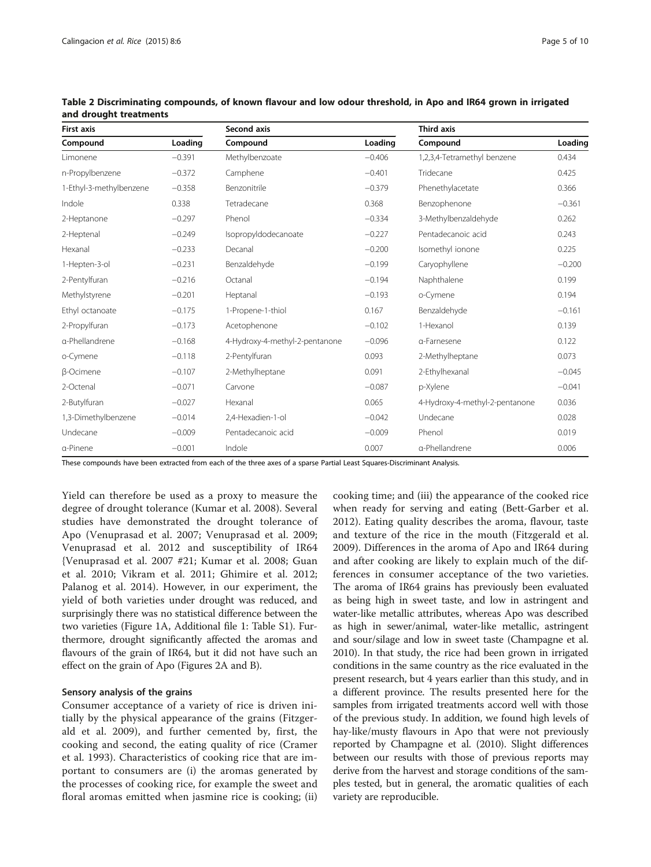| <b>First axis</b>       |          | <b>Second axis</b>             |          | <b>Third axis</b>              |          |
|-------------------------|----------|--------------------------------|----------|--------------------------------|----------|
| Compound                | Loading  | Compound                       | Loading  | Compound                       | Loading  |
| Limonene                | $-0.391$ | Methylbenzoate                 | $-0.406$ | 1,2,3,4-Tetramethyl benzene    | 0.434    |
| n-Propylbenzene         | $-0.372$ | Camphene                       | $-0.401$ | Tridecane                      | 0.425    |
| 1-Ethyl-3-methylbenzene | $-0.358$ | Benzonitrile                   | $-0.379$ | Phenethylacetate               | 0.366    |
| Indole                  | 0.338    | Tetradecane                    | 0.368    | Benzophenone                   | $-0.361$ |
| 2-Heptanone             | $-0.297$ | Phenol                         | $-0.334$ | 3-Methylbenzaldehyde           | 0.262    |
| 2-Heptenal              | $-0.249$ | IsopropyIdodecanoate           | $-0.227$ | Pentadecanoic acid             | 0.243    |
| Hexanal                 | $-0.233$ | Decanal                        | $-0.200$ | Isomethyl ionone               | 0.225    |
| 1-Hepten-3-ol           | $-0.231$ | Benzaldehyde                   | $-0.199$ | Caryophyllene                  | $-0.200$ |
| 2-Pentylfuran           | $-0.216$ | Octanal                        | $-0.194$ | Naphthalene                    | 0.199    |
| Methylstyrene           | $-0.201$ | Heptanal                       | $-0.193$ | o-Cymene                       | 0.194    |
| Ethyl octanoate         | $-0.175$ | 1-Propene-1-thiol              | 0.167    | Benzaldehyde                   | $-0.161$ |
| 2-Propylfuran           | $-0.173$ | Acetophenone                   | $-0.102$ | 1-Hexanol                      | 0.139    |
| a-Phellandrene          | $-0.168$ | 4-Hydroxy-4-methyl-2-pentanone | $-0.096$ | a-Farnesene                    | 0.122    |
| o-Cymene                | $-0.118$ | 2-Pentylfuran                  | 0.093    | 2-Methylheptane                | 0.073    |
| <b>B-Ocimene</b>        | $-0.107$ | 2-Methylheptane                | 0.091    | 2-Ethylhexanal                 | $-0.045$ |
| 2-Octenal               | $-0.071$ | Carvone                        | $-0.087$ | p-Xylene                       | $-0.041$ |
| 2-Butylfuran            | $-0.027$ | Hexanal                        | 0.065    | 4-Hydroxy-4-methyl-2-pentanone | 0.036    |
| 1,3-Dimethylbenzene     | $-0.014$ | 2,4-Hexadien-1-ol              | $-0.042$ | Undecane                       | 0.028    |
| Undecane                | $-0.009$ | Pentadecanoic acid             | $-0.009$ | Phenol                         | 0.019    |
| a-Pinene                | $-0.001$ | Indole                         | 0.007    | a-Phellandrene                 | 0.006    |

<span id="page-4-0"></span>Table 2 Discriminating compounds, of known flavour and low odour threshold, in Apo and IR64 grown in irrigated and drought treatments

These compounds have been extracted from each of the three axes of a sparse Partial Least Squares-Discriminant Analysis.

Yield can therefore be used as a proxy to measure the degree of drought tolerance (Kumar et al. [2008\)](#page-8-0). Several studies have demonstrated the drought tolerance of Apo (Venuprasad et al. [2007;](#page-9-0) Venuprasad et al. [2009](#page-9-0); Venuprasad et al. [2012](#page-9-0) and susceptibility of IR64 {Venuprasad et al. [2007](#page-9-0) #21; Kumar et al. [2008;](#page-8-0) Guan et al. [2010;](#page-8-0) Vikram et al. [2011](#page-9-0); Ghimire et al. [2012](#page-8-0); Palanog et al. [2014\)](#page-9-0). However, in our experiment, the yield of both varieties under drought was reduced, and surprisingly there was no statistical difference between the two varieties (Figure [1A](#page-2-0), Additional file [1](#page-7-0): Table S1). Furthermore, drought significantly affected the aromas and flavours of the grain of IR64, but it did not have such an effect on the grain of Apo (Figures [2A and B](#page-3-0)).

#### Sensory analysis of the grains

Consumer acceptance of a variety of rice is driven initially by the physical appearance of the grains (Fitzgerald et al. [2009\)](#page-8-0), and further cemented by, first, the cooking and second, the eating quality of rice (Cramer et al. [1993](#page-8-0)). Characteristics of cooking rice that are important to consumers are (i) the aromas generated by the processes of cooking rice, for example the sweet and floral aromas emitted when jasmine rice is cooking; (ii)

cooking time; and (iii) the appearance of the cooked rice when ready for serving and eating (Bett-Garber et al. [2012\)](#page-8-0). Eating quality describes the aroma, flavour, taste and texture of the rice in the mouth (Fitzgerald et al. [2009\)](#page-8-0). Differences in the aroma of Apo and IR64 during and after cooking are likely to explain much of the differences in consumer acceptance of the two varieties. The aroma of IR64 grains has previously been evaluated as being high in sweet taste, and low in astringent and water-like metallic attributes, whereas Apo was described as high in sewer/animal, water-like metallic, astringent and sour/silage and low in sweet taste (Champagne et al. [2010\)](#page-8-0). In that study, the rice had been grown in irrigated conditions in the same country as the rice evaluated in the present research, but 4 years earlier than this study, and in a different province. The results presented here for the samples from irrigated treatments accord well with those of the previous study. In addition, we found high levels of hay-like/musty flavours in Apo that were not previously reported by Champagne et al. ([2010](#page-8-0)). Slight differences between our results with those of previous reports may derive from the harvest and storage conditions of the samples tested, but in general, the aromatic qualities of each variety are reproducible.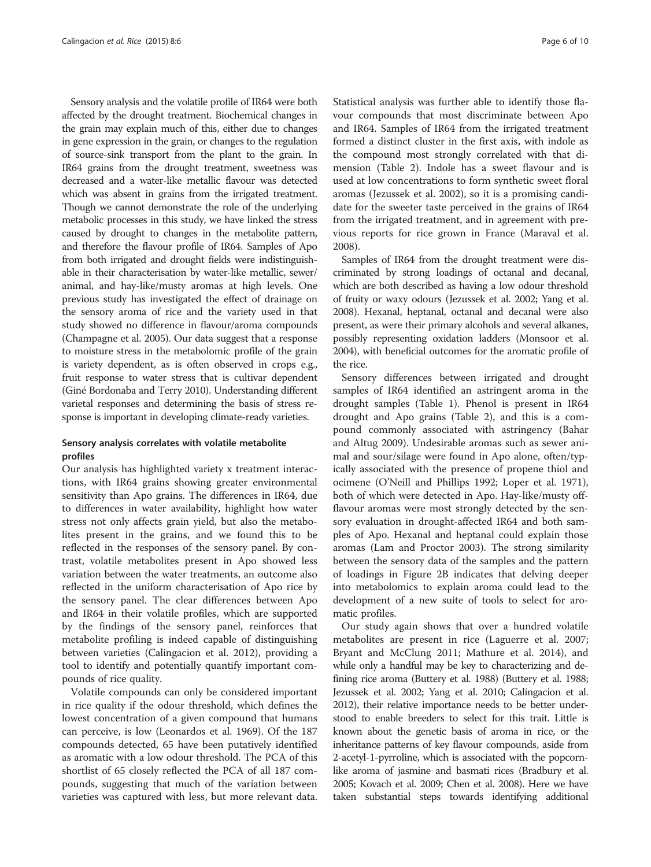Sensory analysis and the volatile profile of IR64 were both affected by the drought treatment. Biochemical changes in the grain may explain much of this, either due to changes in gene expression in the grain, or changes to the regulation of source-sink transport from the plant to the grain. In IR64 grains from the drought treatment, sweetness was decreased and a water-like metallic flavour was detected which was absent in grains from the irrigated treatment. Though we cannot demonstrate the role of the underlying metabolic processes in this study, we have linked the stress caused by drought to changes in the metabolite pattern, and therefore the flavour profile of IR64. Samples of Apo from both irrigated and drought fields were indistinguishable in their characterisation by water-like metallic, sewer/ animal, and hay-like/musty aromas at high levels. One previous study has investigated the effect of drainage on the sensory aroma of rice and the variety used in that study showed no difference in flavour/aroma compounds (Champagne et al. [2005](#page-8-0)). Our data suggest that a response to moisture stress in the metabolomic profile of the grain is variety dependent, as is often observed in crops e.g., fruit response to water stress that is cultivar dependent (Giné Bordonaba and Terry [2010](#page-8-0)). Understanding different varietal responses and determining the basis of stress response is important in developing climate-ready varieties.

## Sensory analysis correlates with volatile metabolite profiles

Our analysis has highlighted variety x treatment interactions, with IR64 grains showing greater environmental sensitivity than Apo grains. The differences in IR64, due to differences in water availability, highlight how water stress not only affects grain yield, but also the metabolites present in the grains, and we found this to be reflected in the responses of the sensory panel. By contrast, volatile metabolites present in Apo showed less variation between the water treatments, an outcome also reflected in the uniform characterisation of Apo rice by the sensory panel. The clear differences between Apo and IR64 in their volatile profiles, which are supported by the findings of the sensory panel, reinforces that metabolite profiling is indeed capable of distinguishing between varieties (Calingacion et al. [2012](#page-8-0)), providing a tool to identify and potentially quantify important compounds of rice quality.

Volatile compounds can only be considered important in rice quality if the odour threshold, which defines the lowest concentration of a given compound that humans can perceive, is low (Leonardos et al. [1969\)](#page-8-0). Of the 187 compounds detected, 65 have been putatively identified as aromatic with a low odour threshold. The PCA of this shortlist of 65 closely reflected the PCA of all 187 compounds, suggesting that much of the variation between varieties was captured with less, but more relevant data. Statistical analysis was further able to identify those flavour compounds that most discriminate between Apo and IR64. Samples of IR64 from the irrigated treatment formed a distinct cluster in the first axis, with indole as the compound most strongly correlated with that dimension (Table [2](#page-4-0)). Indole has a sweet flavour and is used at low concentrations to form synthetic sweet floral aromas (Jezussek et al. [2002](#page-8-0)), so it is a promising candidate for the sweeter taste perceived in the grains of IR64 from the irrigated treatment, and in agreement with previous reports for rice grown in France (Maraval et al. [2008](#page-8-0)).

Samples of IR64 from the drought treatment were discriminated by strong loadings of octanal and decanal, which are both described as having a low odour threshold of fruity or waxy odours (Jezussek et al. [2002;](#page-8-0) Yang et al. [2008\)](#page-9-0). Hexanal, heptanal, octanal and decanal were also present, as were their primary alcohols and several alkanes, possibly representing oxidation ladders (Monsoor et al. [2004\)](#page-8-0), with beneficial outcomes for the aromatic profile of the rice.

Sensory differences between irrigated and drought samples of IR64 identified an astringent aroma in the drought samples (Table [1\)](#page-2-0). Phenol is present in IR64 drought and Apo grains (Table [2\)](#page-4-0), and this is a compound commonly associated with astringency (Bahar and Altug [2009\)](#page-8-0). Undesirable aromas such as sewer animal and sour/silage were found in Apo alone, often/typically associated with the presence of propene thiol and ocimene (O'Neill and Phillips [1992;](#page-8-0) Loper et al. [1971](#page-8-0)), both of which were detected in Apo. Hay-like/musty offflavour aromas were most strongly detected by the sensory evaluation in drought-affected IR64 and both samples of Apo. Hexanal and heptanal could explain those aromas (Lam and Proctor [2003\)](#page-8-0). The strong similarity between the sensory data of the samples and the pattern of loadings in Figure [2B](#page-3-0) indicates that delving deeper into metabolomics to explain aroma could lead to the development of a new suite of tools to select for aromatic profiles.

Our study again shows that over a hundred volatile metabolites are present in rice (Laguerre et al. [2007](#page-8-0); Bryant and McClung [2011](#page-8-0); Mathure et al. [2014](#page-8-0)), and while only a handful may be key to characterizing and defining rice aroma (Buttery et al. [1988](#page-8-0)) (Buttery et al. [1988](#page-8-0); Jezussek et al. [2002;](#page-8-0) Yang et al. [2010;](#page-9-0) Calingacion et al. [2012\)](#page-8-0), their relative importance needs to be better understood to enable breeders to select for this trait. Little is known about the genetic basis of aroma in rice, or the inheritance patterns of key flavour compounds, aside from 2-acetyl-1-pyrroline, which is associated with the popcornlike aroma of jasmine and basmati rices (Bradbury et al. [2005;](#page-8-0) Kovach et al. [2009](#page-8-0); Chen et al. [2008\)](#page-8-0). Here we have taken substantial steps towards identifying additional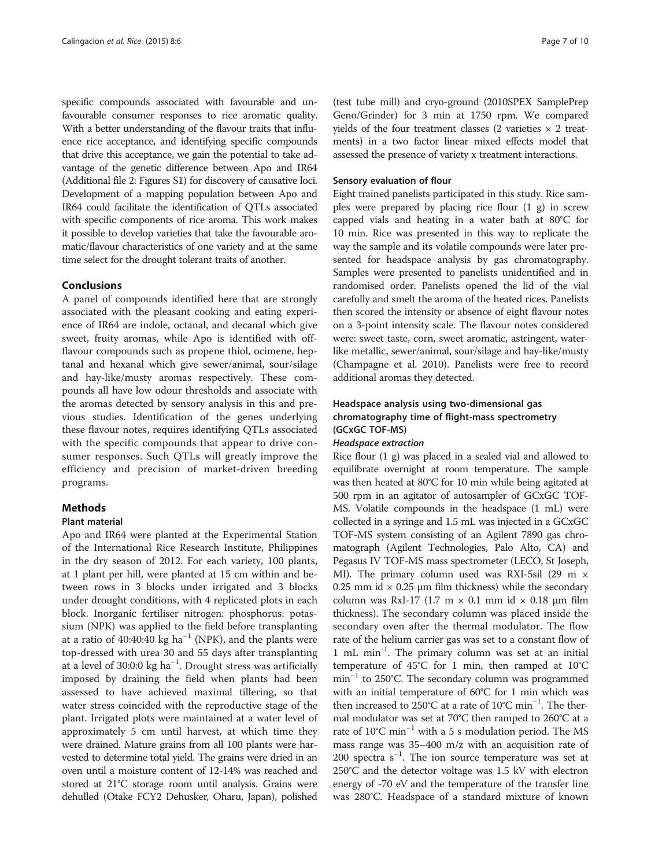specific compounds associated with favourable and unfavourable consumer responses to rice aromatic quality. With a better understanding of the flavour traits that influence rice acceptance, and identifying specific compounds that drive this acceptance, we gain the potential to take advantage of the genetic difference between Apo and IR64 (Additional file [2:](#page-7-0) Figures S1) for discovery of causative loci. Development of a mapping population between Apo and IR64 could facilitate the identification of QTLs associated with specific components of rice aroma. This work makes it possible to develop varieties that take the favourable aromatic/flavour characteristics of one variety and at the same time select for the drought tolerant traits of another.

#### Conclusions

A panel of compounds identified here that are strongly associated with the pleasant cooking and eating experience of IR64 are indole, octanal, and decanal which give sweet, fruity aromas, while Apo is identified with offflavour compounds such as propene thiol, ocimene, heptanal and hexanal which give sewer/animal, sour/silage and hay-like/musty aromas respectively. These compounds all have low odour thresholds and associate with the aromas detected by sensory analysis in this and previous studies. Identification of the genes underlying these flavour notes, requires identifying QTLs associated with the specific compounds that appear to drive consumer responses. Such QTLs will greatly improve the efficiency and precision of market-driven breeding programs.

## Methods

# Plant material

Apo and IR64 were planted at the Experimental Station of the International Rice Research Institute, Philippines in the dry season of 2012. For each variety, 100 plants, at 1 plant per hill, were planted at 15 cm within and between rows in 3 blocks under irrigated and 3 blocks under drought conditions, with 4 replicated plots in each block. Inorganic fertiliser nitrogen: phosphorus: potassium (NPK) was applied to the field before transplanting at a ratio of 40:40:40 kg ha<sup>-1</sup> (NPK), and the plants were top-dressed with urea 30 and 55 days after transplanting at a level of 30:0:0 kg ha−<sup>1</sup> . Drought stress was artificially imposed by draining the field when plants had been assessed to have achieved maximal tillering, so that water stress coincided with the reproductive stage of the plant. Irrigated plots were maintained at a water level of approximately 5 cm until harvest, at which time they were drained. Mature grains from all 100 plants were harvested to determine total yield. The grains were dried in an oven until a moisture content of 12-14% was reached and stored at 21°C storage room until analysis. Grains were dehulled (Otake FCY2 Dehusker, Oharu, Japan), polished

(test tube mill) and cryo-ground (2010SPEX SamplePrep Geno/Grinder) for 3 min at 1750 rpm. We compared yields of the four treatment classes (2 varieties  $\times$  2 treatments) in a two factor linear mixed effects model that assessed the presence of variety x treatment interactions.

#### Sensory evaluation of flour

Eight trained panelists participated in this study. Rice samples were prepared by placing rice flour (1 g) in screw capped vials and heating in a water bath at 80°C for 10 min. Rice was presented in this way to replicate the way the sample and its volatile compounds were later presented for headspace analysis by gas chromatography. Samples were presented to panelists unidentified and in randomised order. Panelists opened the lid of the vial carefully and smelt the aroma of the heated rices. Panelists then scored the intensity or absence of eight flavour notes on a 3-point intensity scale. The flavour notes considered were: sweet taste, corn, sweet aromatic, astringent, waterlike metallic, sewer/animal, sour/silage and hay-like/musty (Champagne et al. [2010\)](#page-8-0). Panelists were free to record additional aromas they detected.

# Headspace analysis using two-dimensional gas chromatography time of flight-mass spectrometry (GCxGC TOF-MS)

#### Headspace extraction

Rice flour (1 g) was placed in a sealed vial and allowed to equilibrate overnight at room temperature. The sample was then heated at 80°C for 10 min while being agitated at 500 rpm in an agitator of autosampler of GCxGC TOF-MS. Volatile compounds in the headspace (1 mL) were collected in a syringe and 1.5 mL was injected in a GCxGC TOF-MS system consisting of an Agilent 7890 gas chromatograph (Agilent Technologies, Palo Alto, CA) and Pegasus IV TOF-MS mass spectrometer (LECO, St Joseph, MI). The primary column used was RXI-5sil (29 m  $\times$ 0.25 mm id  $\times$  0.25 µm film thickness) while the secondary column was RxI-17 (1.7 m × 0.1 mm id × 0.18 μm film thickness). The secondary column was placed inside the secondary oven after the thermal modulator. The flow rate of the helium carrier gas was set to a constant flow of 1 mL min-1. The primary column was set at an initial temperature of 45°C for 1 min, then ramped at 10°C min<sup>-1</sup> to 250°C. The secondary column was programmed with an initial temperature of 60°C for 1 min which was then increased to 250°C at a rate of 10°C min−<sup>1</sup> . The thermal modulator was set at 70°C then ramped to 260°C at a rate of 10°C min−<sup>1</sup> with a 5 s modulation period. The MS mass range was 35–400 m/z with an acquisition rate of 200 spectra s−<sup>1</sup> . The ion source temperature was set at 250°C and the detector voltage was 1.5 kV with electron energy of -70 eV and the temperature of the transfer line was 280°C. Headspace of a standard mixture of known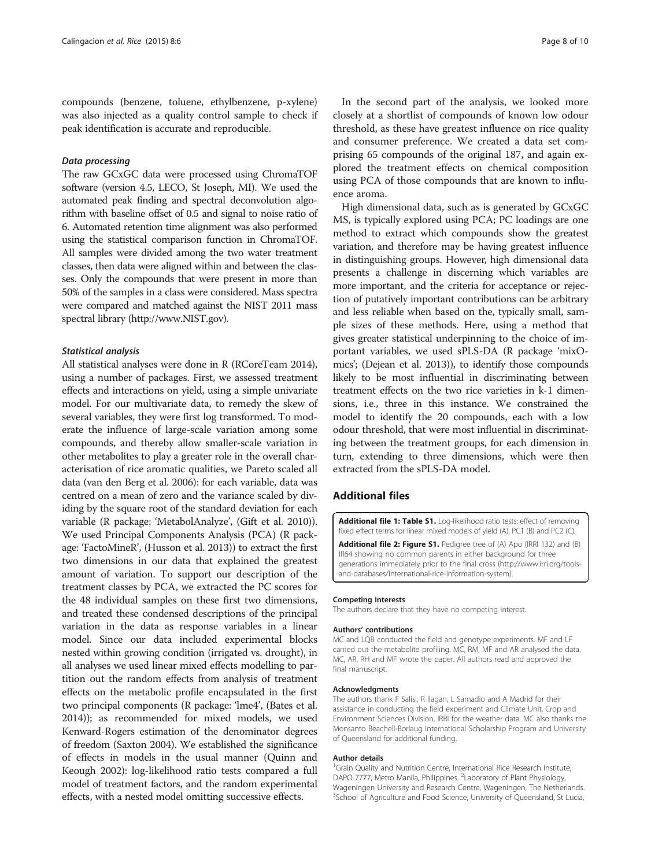<span id="page-7-0"></span>compounds (benzene, toluene, ethylbenzene, p-xylene) was also injected as a quality control sample to check if peak identification is accurate and reproducible.

### Data processing

The raw GCxGC data were processed using ChromaTOF software (version 4.5, LECO, St Joseph, MI). We used the automated peak finding and spectral deconvolution algorithm with baseline offset of 0.5 and signal to noise ratio of 6. Automated retention time alignment was also performed using the statistical comparison function in ChromaTOF. All samples were divided among the two water treatment classes, then data were aligned within and between the classes. Only the compounds that were present in more than 50% of the samples in a class were considered. Mass spectra were compared and matched against the NIST 2011 mass spectral library [\(http://www.NIST.gov](http://www.nist.gov/)).

#### Statistical analysis

All statistical analyses were done in R (RCoreTeam [2014](#page-9-0)), using a number of packages. First, we assessed treatment effects and interactions on yield, using a simple univariate model. For our multivariate data, to remedy the skew of several variables, they were first log transformed. To moderate the influence of large-scale variation among some compounds, and thereby allow smaller-scale variation in other metabolites to play a greater role in the overall characterisation of rice aromatic qualities, we Pareto scaled all data (van den Berg et al. [2006\)](#page-9-0): for each variable, data was centred on a mean of zero and the variance scaled by dividing by the square root of the standard deviation for each variable (R package: 'MetabolAnalyze', (Gift et al. [2010](#page-8-0))). We used Principal Components Analysis (PCA) (R package: 'FactoMineR', (Husson et al. [2013](#page-8-0))) to extract the first two dimensions in our data that explained the greatest amount of variation. To support our description of the treatment classes by PCA, we extracted the PC scores for the 48 individual samples on these first two dimensions, and treated these condensed descriptions of the principal variation in the data as response variables in a linear model. Since our data included experimental blocks nested within growing condition (irrigated vs. drought), in all analyses we used linear mixed effects modelling to partition out the random effects from analysis of treatment effects on the metabolic profile encapsulated in the first two principal components (R package: 'lme4', (Bates et al. [2014\)](#page-8-0)); as recommended for mixed models, we used Kenward-Rogers estimation of the denominator degrees of freedom (Saxton [2004\)](#page-9-0). We established the significance of effects in models in the usual manner (Quinn and Keough [2002](#page-9-0)): log-likelihood ratio tests compared a full model of treatment factors, and the random experimental effects, with a nested model omitting successive effects.

In the second part of the analysis, we looked more closely at a shortlist of compounds of known low odour threshold, as these have greatest influence on rice quality and consumer preference. We created a data set comprising 65 compounds of the original 187, and again explored the treatment effects on chemical composition using PCA of those compounds that are known to influence aroma.

High dimensional data, such as is generated by GCxGC MS, is typically explored using PCA; PC loadings are one method to extract which compounds show the greatest variation, and therefore may be having greatest influence in distinguishing groups. However, high dimensional data presents a challenge in discerning which variables are more important, and the criteria for acceptance or rejection of putatively important contributions can be arbitrary and less reliable when based on the, typically small, sample sizes of these methods. Here, using a method that gives greater statistical underpinning to the choice of important variables, we used sPLS-DA (R package 'mixOmics'; (Dejean et al. [2013\)](#page-8-0)), to identify those compounds likely to be most influential in discriminating between treatment effects on the two rice varieties in k-1 dimensions, i.e., three in this instance. We constrained the model to identify the 20 compounds, each with a low odour threshold, that were most influential in discriminating between the treatment groups, for each dimension in turn, extending to three dimensions, which were then extracted from the sPLS-DA model.

## Additional files

[Additional file 1: Table S1.](http://www.thericejournal.com/content/supplementary/s12284-015-0043-8-s1.docx) Log-likelihood ratio tests: effect of removing fixed effect terms for linear mixed models of yield (A), PC1 (B) and PC2 (C).

[Additional file 2: Figure S1.](http://www.thericejournal.com/content/supplementary/s12284-015-0043-8-s2.docx) Pedigree tree of (A) Apo (IRRI 132) and (B) IR64 showing no common parents in either background for three generations immediately prior to the final cross ([http://www.irri.org/tools](http://www.irri.org/tools-and-databases/international-rice-information-system)[and-databases/international-rice-information-system](http://www.irri.org/tools-and-databases/international-rice-information-system)).

#### Competing interests

The authors declare that they have no competing interest.

#### Authors' contributions

MC and LQB conducted the field and genotype experiments. MF and LF carried out the metabolite profiling. MC, RM, MF and AR analysed the data. MC, AR, RH and MF wrote the paper. All authors read and approved the final manuscript.

#### Acknowledgments

The authors thank F Salisi, R Ilagan, L Samadio and A Madrid for their assistance in conducting the field experiment and Climate Unit, Crop and Environment Sciences Division, IRRI for the weather data. MC also thanks the Monsanto Beachell-Borlaug International Scholarship Program and University of Queensland for additional funding.

#### Author details

<sup>1</sup>Grain Quality and Nutrition Centre, International Rice Research Institute, DAPO 7777, Metro Manila, Philippines. <sup>2</sup>Laboratory of Plant Physiology, Wageningen University and Research Centre, Wageningen, The Netherlands. <sup>3</sup>School of Agriculture and Food Science, University of Queensland, St Lucia,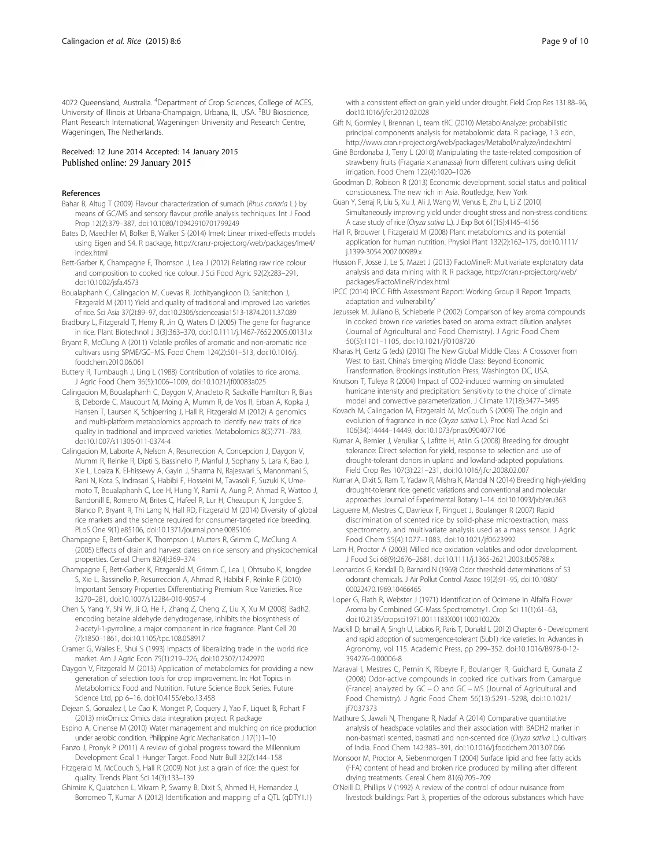<span id="page-8-0"></span>4072 Queensland, Australia. <sup>4</sup>Department of Crop Sciences, College of ACES, University of Illinois at Urbana-Champaign, Urbana, IL, USA. <sup>5</sup>BU Bioscience, Plant Research International, Wageningen University and Research Centre, Wageningen, The Netherlands.

#### Received: 12 June 2014 Accepted: 14 January 2015 Published online: 29 January 2015

#### References

- Bahar B, Altug T (2009) Flavour characterization of sumach (Rhus coriaria L.) by means of GC/MS and sensory flavour profile analysis techniques. Int J Food Prop 12(2):379–387, doi:10.1080/10942910701799249
- Bates D, Maechler M, Bolker B, Walker S (2014) lme4: Linear mixed-effects models using Eigen and S4. R package, [http://cran.r-project.org/web/packages/lme4/](http://cran.r-project.org/web/packages/lme4/index.html) [index.html](http://cran.r-project.org/web/packages/lme4/index.html)
- Bett-Garber K, Champagne E, Thomson J, Lea J (2012) Relating raw rice colour and composition to cooked rice colour. J Sci Food Agric 92(2):283–291, doi:10.1002/jsfa.4573
- Boualaphanh C, Calingacion M, Cuevas R, Jothityangkoon D, Sanitchon J, Fitzgerald M (2011) Yield and quality of traditional and improved Lao varieties of rice. Sci Asia 37(2):89–97, doi:10.2306/scienceasia1513-1874.2011.37.089
- Bradbury L, Fitzgerald T, Henry R, Jin Q, Waters D (2005) The gene for fragrance in rice. Plant Biotechnol J 3(3):363–370, doi:10.1111/j.1467-7652.2005.00131.x
- Bryant R, McClung A (2011) Volatile profiles of aromatic and non-aromatic rice cultivars using SPME/GC–MS. Food Chem 124(2):501–513, doi:10.1016/j. foodchem.2010.06.061
- Buttery R, Turnbaugh J, Ling L (1988) Contribution of volatiles to rice aroma. J Agric Food Chem 36(5):1006–1009, doi:10.1021/jf00083a025
- Calingacion M, Boualaphanh C, Daygon V, Anacleto R, Sackville Hamilton R, Biais B, Deborde C, Maucourt M, Moing A, Mumm R, de Vos R, Erban A, Kopka J, Hansen T, Laursen K, Schjoerring J, Hall R, Fitzgerald M (2012) A genomics and multi-platform metabolomics approach to identify new traits of rice quality in traditional and improved varieties. Metabolomics 8(5):771–783, doi:10.1007/s11306-011-0374-4
- Calingacion M, Laborte A, Nelson A, Resurreccion A, Concepcion J, Daygon V, Mumm R, Reinke R, Dipti S, Bassinello P, Manful J, Sophany S, Lara K, Bao J, Xie L, Loaiza K, El-hissewy A, Gayin J, Sharma N, Rajeswari S, Manonmani S, Rani N, Kota S, Indrasari S, Habibi F, Hosseini M, Tavasoli F, Suzuki K, Umemoto T, Boualaphanh C, Lee H, Hung Y, Ramli A, Aung P, Ahmad R, Wattoo J, Bandonill E, Romero M, Brites C, Hafeel R, Lur H, Cheaupun K, Jongdee S, Blanco P, Bryant R, Thi Lang N, Hall RD, Fitzgerald M (2014) Diversity of global rice markets and the science required for consumer-targeted rice breeding. PLoS One 9(1):e85106, doi:10.1371/journal.pone.0085106
- Champagne E, Bett-Garber K, Thompson J, Mutters R, Grimm C, McClung A (2005) Effects of drain and harvest dates on rice sensory and physicochemical properties. Cereal Chem 82(4):369–374
- Champagne E, Bett-Garber K, Fitzgerald M, Grimm C, Lea J, Ohtsubo K, Jongdee S, Xie L, Bassinello P, Resurreccion A, Ahmad R, Habibi F, Reinke R (2010) Important Sensory Properties Differentiating Premium Rice Varieties. Rice 3:270–281, doi:10.1007/s12284-010-9057-4
- Chen S, Yang Y, Shi W, Ji Q, He F, Zhang Z, Cheng Z, Liu X, Xu M (2008) Badh2, encoding betaine aldehyde dehydrogenase, inhibits the biosynthesis of 2-acetyl-1-pyrroline, a major component in rice fragrance. Plant Cell 20 (7):1850–1861, doi:10.1105/tpc.108.058917
- Cramer G, Wailes E, Shui S (1993) Impacts of liberalizing trade in the world rice market. Am J Agric Econ 75(1):219–226, doi:10.2307/1242970
- Daygon V, Fitzgerald M (2013) Application of metabolomics for providing a new generation of selection tools for crop improvement. In: Hot Topics in Metabolomics: Food and Nutrition. Future Science Book Series. Future Science Ltd, pp 6–16. doi:10.4155/ebo.13.458
- Dejean S, Gonzalez I, Le Cao K, Monget P, Coquery J, Yao F, Liquet B, Rohart F (2013) mixOmics: Omics data integration project. R package
- Espino A, Cinense M (2010) Water management and mulching on rice production under aerobic condition. Philippine Agric Mechanisation J 17(1):1–10
- Fanzo J, Pronyk P (2011) A review of global progress toward the Millennium Development Goal 1 Hunger Target. Food Nutr Bull 32(2):144–158
- Fitzgerald M, McCouch S, Hall R (2009) Not just a grain of rice: the quest for quality. Trends Plant Sci 14(3):133–139
- Ghimire K, Quiatchon L, Vikram P, Swamy B, Dixit S, Ahmed H, Hernandez J, Borromeo T, Kumar A (2012) Identification and mapping of a QTL (qDTY1.1)

with a consistent effect on grain yield under drought. Field Crop Res 131:88–96, doi:10.1016/j.fcr.2012.02.028

- Gift N, Gormley I, Brennan L, team tRC (2010) MetabolAnalyze: probabilistic principal components analysis for metabolomic data. R package, 1.3 edn., <http://www.cran.r-project.org/web/packages/MetabolAnalyze/index.html>
- Giné Bordonaba J, Terry L (2010) Manipulating the taste-related composition of strawberry fruits (Fragaria x ananassa) from different cultivars using deficit irrigation. Food Chem 122(4):1020–1026
- Goodman D, Robison R (2013) Economic development, social status and political consciousness. The new rich in Asia. Routledge, New York
- Guan Y, Serraj R, Liu S, Xu J, Ali J, Wang W, Venus E, Zhu L, Li Z (2010) Simultaneously improving yield under drought stress and non-stress conditions: A case study of rice (Oryza sativa L.). J Exp Bot 61(15):4145–4156
- Hall R, Brouwer I, Fitzgerald M (2008) Plant metabolomics and its potential application for human nutrition. Physiol Plant 132(2):162–175, doi:10.1111/ j.1399-3054.2007.00989.x
- Husson F, Josse J, Le S, Mazet J (2013) FactoMineR: Multivariate exploratory data analysis and data mining with R. R package, [http://cran.r-project.org/web/](http://cran.r-project.org/web/packages/FactoMineR/index.html) [packages/FactoMineR/index.html](http://cran.r-project.org/web/packages/FactoMineR/index.html)
- IPCC (2014) IPCC Fifth Assessment Report: Working Group II Report 'Impacts, adaptation and vulnerability'
- Jezussek M, Juliano B, Schieberle P (2002) Comparison of key aroma compounds in cooked brown rice varieties based on aroma extract dilution analyses (Journal of Agricultural and Food Chemistry). J Agric Food Chem 50(5):1101–1105, doi:10.1021/jf0108720
- Kharas H, Gertz G (eds) (2010) The New Global Middle Class: A Crossover from West to East. China's Emerging Middle Class: Beyond Economic Transformation. Brookings Institution Press, Washington DC, USA.
- Knutson T, Tuleya R (2004) Impact of CO2-induced warming on simulated hurricane intensity and precipitation: Sensitivity to the choice of climate model and convective parameterization. J Climate 17(18):3477–3495
- Kovach M, Calingacion M, Fitzgerald M, McCouch S (2009) The origin and evolution of fragrance in rice (Oryza sativa L.). Proc Natl Acad Sci 106(34):14444–14449, doi:10.1073/pnas.0904077106
- Kumar A, Bernier J, Verulkar S, Lafitte H, Atlin G (2008) Breeding for drought tolerance: Direct selection for yield, response to selection and use of drought-tolerant donors in upland and lowland-adapted populations. Field Crop Res 107(3):221–231, doi:10.1016/j.fcr.2008.02.007
- Kumar A, Dixit S, Ram T, Yadaw R, Mishra K, Mandal N (2014) Breeding high-yielding drought-tolerant rice: genetic variations and conventional and molecular approaches. Journal of Experimental Botany:1–14. doi:10.1093/jxb/eru363
- Laguerre M, Mestres C, Davrieux F, Ringuet J, Boulanger R (2007) Rapid discrimination of scented rice by solid-phase microextraction, mass spectrometry, and multivariate analysis used as a mass sensor. J Agric Food Chem 55(4):1077–1083, doi:10.1021/jf0623992
- Lam H, Proctor A (2003) Milled rice oxidation volatiles and odor development. J Food Sci 68(9):2676–2681, doi:10.1111/j.1365-2621.2003.tb05788.x
- Leonardos G, Kendall D, Barnard N (1969) Odor threshold determinations of 53 odorant chemicals. J Air Pollut Control Assoc 19(2):91–95, doi:10.1080/ 00022470.1969.10466465
- Loper G, Flath R, Webster J (1971) Identification of Ocimene in Alfalfa Flower Aroma by Combined GC-Mass Spectrometry1. Crop Sci 11(1):61–63, doi:10.2135/cropsci1971.0011183X001100010020x
- Mackill D, Ismail A, Singh U, Labios R, Paris T, Donald L (2012) Chapter 6 Development and rapid adoption of submergence-tolerant (Sub1) rice varieties. In: Advances in Agronomy, vol 115. Academic Press, pp 299–352. doi:10.1016/B978-0-12- 394276-0.00006-8
- Maraval I, Mestres C, Pernin K, Ribeyre F, Boulanger R, Guichard E, Gunata Z (2008) Odor-active compounds in cooked rice cultivars from Camargue (France) analyzed by GC − O and GC − MS (Journal of Agricultural and Food Chemistry). J Agric Food Chem 56(13):5291–5298, doi:10.1021/ jf7037373
- Mathure S, Jawali N, Thengane R, Nadaf A (2014) Comparative quantitative analysis of headspace volatiles and their association with BADH2 marker in non-basmati scented, basmati and non-scented rice (Oryza sativa L.) cultivars of India. Food Chem 142:383–391, doi:10.1016/j.foodchem.2013.07.066
- Monsoor M, Proctor A, Siebenmorgen T (2004) Surface lipid and free fatty acids (FFA) content of head and broken rice produced by milling after different drying treatments. Cereal Chem 81(6):705–709
- O'Neill D, Phillips V (1992) A review of the control of odour nuisance from livestock buildings: Part 3, properties of the odorous substances which have